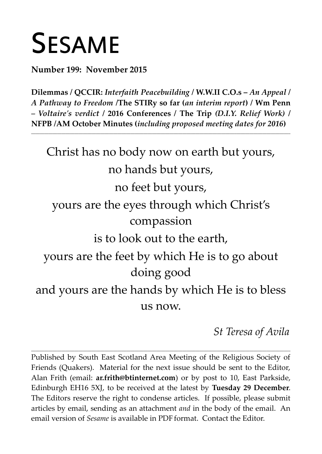# **SESAME**

**Number 199: November 2015**

**Dilemmas / QCCIR:** *Interfaith Peacebuilding* **/ W.W.II C.O.s –** *An Appeal* **/** *A Pathway to Freedom* **/The STIRy so far (***an interim report***) / Wm Penn** *– Voltaire's verdict* **/ 2016 Conferences / The Trip** *(D.I.Y. Relief Work)* **/ NFPB /AM October Minutes (***including proposed meeting dates for 2016***)**

**\_\_\_\_\_\_\_\_\_\_\_\_\_\_\_\_\_\_\_\_\_\_\_\_\_\_\_\_\_\_\_\_\_\_\_\_\_\_\_\_\_\_\_\_\_\_\_\_\_\_\_\_\_\_\_\_\_\_\_\_\_\_\_\_\_\_\_\_\_\_\_\_\_\_\_\_\_\_\_\_\_\_\_\_\_\_\_\_\_\_\_\_\_\_\_\_\_\_\_\_\_\_\_\_\_\_\_\_\_\_\_\_\_\_\_\_\_\_\_\_**

Christ has no body now on earth but yours, no hands but yours, no feet but yours, yours are the eyes through which Christ's compassion is to look out to the earth, yours are the feet by which He is to go about doing good and yours are the hands by which He is to bless us now.

*St Teresa of Avila*

Published by South East Scotland Area Meeting of the Religious Society of Friends (Quakers). Material for the next issue should be sent to the Editor, Alan Frith (email: **[ar.frith@btinternet.com](mailto:ar.frith@btinternet.com)**) or by post to 10, East Parkside, Edinburgh EH16 5XJ, to be received at the latest by **Tuesday 29 December**. The Editors reserve the right to condense articles. If possible, please submit articles by email, sending as an attachment *and* in the body of the email. An email version of *Sesame* is available in PDF format. Contact the Editor.

**\_\_\_\_\_\_\_\_\_\_\_\_\_\_\_\_\_\_\_\_\_\_\_\_\_\_\_\_\_\_\_\_\_\_\_\_\_\_\_\_\_\_\_\_\_\_\_\_\_\_\_\_\_\_\_\_\_\_\_\_\_\_\_\_\_\_\_\_\_\_\_\_\_\_\_\_\_\_\_\_\_\_\_\_\_\_\_\_\_\_\_\_\_\_\_\_\_\_\_\_\_\_\_\_\_\_\_\_\_\_\_\_\_\_\_\_\_\_\_\_**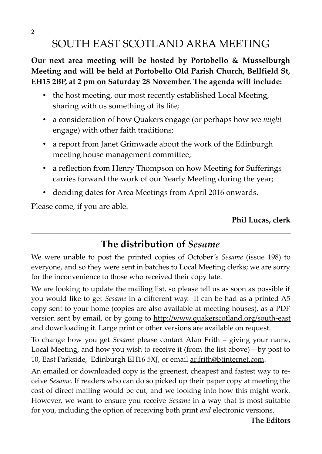# SOUTH EAST SCOTLAND AREA MEETING

**Our next area meeting will be hosted by Portobello & Musselburgh Meeting and will be held at Portobello Old Parish Church, Bellfield St, EH15 2BP, at 2 pm on Saturday 28 November. The agenda will include:** 

- the host meeting, our most recently established Local Meeting, sharing with us something of its life;
- a consideration of how Quakers engage (or perhaps how we *might* engage) with other faith traditions;
- a report from Janet Grimwade about the work of the Edinburgh meeting house management committee;
- a reflection from Henry Thompson on how Meeting for Sufferings carries forward the work of our Yearly Meeting during the year;
- deciding dates for Area Meetings from April 2016 onwards.

Please come, if you are able.

## **Phil Lucas, clerk**

# **The distribution of** *Sesame*

**\_\_\_\_\_\_\_\_\_\_\_\_\_\_\_\_\_\_\_\_\_\_\_\_\_\_\_\_\_\_\_\_\_\_\_\_\_\_\_\_\_\_\_\_\_\_\_\_\_\_\_\_\_\_\_\_\_\_\_\_\_\_\_\_\_\_\_\_\_\_\_\_\_\_\_\_\_\_\_\_\_\_\_\_\_\_\_\_\_\_\_\_\_\_\_\_\_\_\_\_\_\_\_\_\_\_\_\_\_\_\_\_\_\_\_\_\_\_\_\_**

We were unable to post the printed copies of October's *Sesame* (issue 198) to everyone, and so they were sent in batches to Local Meeting clerks; we are sorry for the inconvenience to those who received their copy late.

We are looking to update the mailing list, so please tell us as soon as possible if you would like to get *Sesame* in a different way. It can be had as a printed A5 copy sent to your home (copies are also available at meeting houses), as a PDF version sent by email, or by going to <http://www.quakerscotland.org/south-east> and downloading it. Large print or other versions are available on request.

To change how you get *Sesame* please contact Alan Frith – giving your name, Local Meeting, and how you wish to receive it (from the list above) – by post to 10, East Parkside, Edinburgh EH16 5XJ, or email [ar.frith@btinternet.com.](mailto:ar.frith@btinternet.com)

An emailed or downloaded copy is the greenest, cheapest and fastest way to receive *Sesame*. If readers who can do so picked up their paper copy at meeting the cost of direct mailing would be cut, and we looking into how this might work. However, we want to ensure you receive *Sesame* in a way that is most suitable for you, including the option of receiving both print *and* electronic versions.

**The Editors**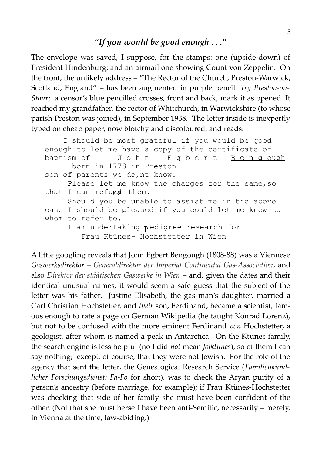## *"If you would be good enough . . ."*

The envelope was saved, I suppose, for the stamps: one (upside-down) of President Hindenburg; and an airmail one showing Count von Zeppelin. On the front, the unlikely address – "The Rector of the Church, Preston-Warwick, Scotland, England" – has been augmented in purple pencil: *Try Preston-on-Stour*; a censor's blue pencilled crosses, front and back, mark it as opened. It reached my grandfather, the rector of Whitchurch, in Warwickshire (to whose parish Preston was joined), in September 1938. The letter inside is inexpertly typed on cheap paper, now blotchy and discoloured, and reads:

```
 I should be most grateful if you would be good
 enough to let me have a copy of the certificate of
baptism of J o h n E g b e r t B e n g ough
       born in 1778 in Preston
 son of parents we do,nt know.
     Please let me know the charges for the same, so
that I can refund them.
      Should you be unable to assist me in the above 
 case I should be pleased if you could let me know to
 whom to refer to.
     I am undertaking pedigree research for
         Frau Ktünes- Hochstetter in Wien
```
A little googling reveals that John Egbert Bengough (1808-88) was a Viennese *Gaswerksdirektor – Generaldirektor der Imperial Continental Gas-Association*, and also *Direktor der städtischen Gaswerke in Wien –* and, given the dates and their identical unusual names, it would seem a safe guess that the subject of the letter was his father. Justine Elisabeth, the gas man's daughter, married a Carl Christian Hochstetter, and *their* son, Ferdinand, became a scientist, famous enough to rate a page on German Wikipedia (he taught Konrad Lorenz), but not to be confused with the more eminent Ferdinand *von* Hochstetter, a geologist, after whom is named a peak in Antarctica. On the Ktünes family, the search engine is less helpful (no I did *not* mean *folktunes*), so of them I can say nothing; except, of course, that they were not Jewish. For the role of the agency that sent the letter, the Genealogical Research Service (*Familienkundlicher Forschungsdienst: Fa-Fo* for short), was to check the Aryan purity of a person's ancestry (before marriage, for example); if Frau Ktünes-Hochstetter was checking that side of her family she must have been confident of the other. (Not that she must herself have been anti-Semitic, necessarily – merely, in Vienna at the time, law-abiding.)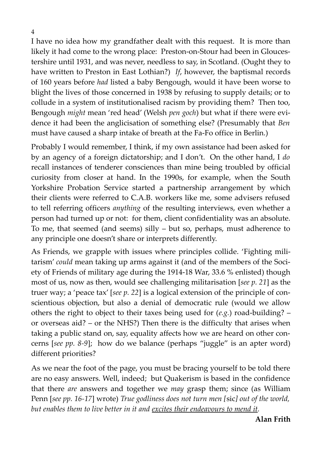4

I have no idea how my grandfather dealt with this request. It is more than likely it had come to the wrong place: Preston-on-Stour had been in Gloucestershire until 1931, and was never, needless to say, in Scotland. (Ought they to have written to Preston in East Lothian?) *If*, however, the baptismal records of 160 years before *had* listed a baby Bengough, would it have been worse to blight the lives of those concerned in 1938 by refusing to supply details; or to collude in a system of institutionalised racism by providing them? Then too, Bengough *might* mean 'red head' (Welsh *pen goch*) but what if there were evidence it had been the anglicisation of something else? (Presumably that *Ben* must have caused a sharp intake of breath at the Fa-Fo office in Berlin.)

Probably I would remember, I think, if my own assistance had been asked for by an agency of a foreign dictatorship; and I don't. On the other hand, I *do* recall instances of tenderer consciences than mine being troubled by official curiosity from closer at hand. In the 1990s, for example, when the South Yorkshire Probation Service started a partnership arrangement by which their clients were referred to C.A.B. workers like me, some advisers refused to tell referring officers *anything* of the resulting interviews, even whether a person had turned up or not: for them, client confidentiality was an absolute. To me, that seemed (and seems) silly – but so, perhaps, must adherence to any principle one doesn't share or interprets differently.

As Friends, we grapple with issues where principles collide. 'Fighting militarism' *could* mean taking up arms against it (and of the members of the Society of Friends of military age during the 1914-18 War, 33.6 % enlisted) though most of us, now as then, would see challenging militarisation [*see p. 21*] as the truer way; a 'peace tax' [*see p. 22*] is a logical extension of the principle of conscientious objection, but also a denial of democratic rule (would we allow others the right to object to their taxes being used for (*e.g.*) road-building? – or overseas aid? – or the NHS?) Then there is the difficulty that arises when taking a public stand on, say, equality affects how we are heard on other concerns [*see pp. 8-9*]; how do we balance (perhaps "juggle" is an apter word) different priorities?

As we near the foot of the page, you must be bracing yourself to be told there are no easy answers. Well, indeed; but Quakerism is based in the confidence that there *are* answers and together we *may* grasp them; since (as William Penn [*see pp. 16-17*] wrote) *True godliness does not turn men [*sic*] out of the world, but enables them to live better in it and excites their endeavours to mend it.*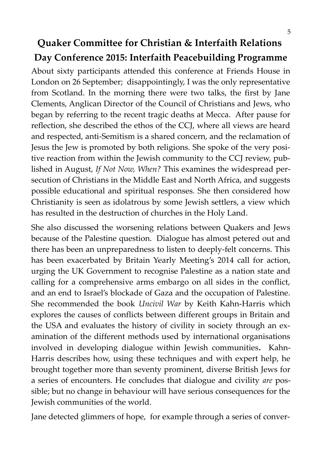# **Quaker Committee for Christian & Interfaith Relations Day Conference 2015: Interfaith Peacebuilding Programme**

About sixty participants attended this conference at Friends House in London on 26 September; disappointingly, I was the only representative from Scotland. In the morning there were two talks, the first by Jane Clements, Anglican Director of the Council of Christians and Jews, who began by referring to the recent tragic deaths at Mecca. After pause for reflection, she described the ethos of the CCJ, where all views are heard and respected, anti-Semitism is a shared concern, and the reclamation of Jesus the Jew is promoted by both religions. She spoke of the very positive reaction from within the Jewish community to the CCJ review, published in August, *If Not Now, When?* This examines the widespread persecution of Christians in the Middle East and North Africa, and suggests possible educational and spiritual responses. She then considered how Christianity is seen as idolatrous by some Jewish settlers, a view which has resulted in the destruction of churches in the Holy Land.

She also discussed the worsening relations between Quakers and Jews because of the Palestine question. Dialogue has almost petered out and there has been an unpreparedness to listen to deeply-felt concerns. This has been exacerbated by Britain Yearly Meeting's 2014 call for action, urging the UK Government to recognise Palestine as a nation state and calling for a comprehensive arms embargo on all sides in the conflict, and an end to Israel's blockade of Gaza and the occupation of Palestine. She recommended the book *Uncivil War* by Keith Kahn-Harris which explores the causes of conflicts between different groups in Britain and the USA and evaluates the history of civility in society through an examination of the different methods used by international organisations involved in developing dialogue within Jewish communities**.** Kahn-Harris describes how, using these techniques and with expert help, he brought together more than seventy prominent, diverse British Jews for a series of encounters. He concludes that dialogue and civility *are* possible; but no change in behaviour will have serious consequences for the Jewish communities of the world.

Jane detected glimmers of hope, for example through a series of conver-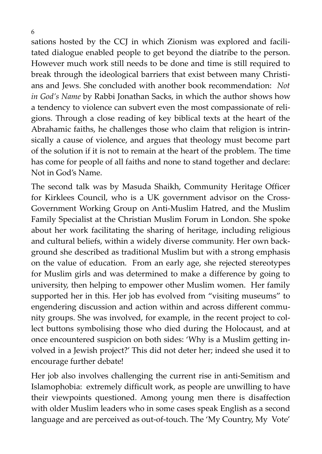sations hosted by the CCJ in which Zionism was explored and facilitated dialogue enabled people to get beyond the diatribe to the person. However much work still needs to be done and time is still required to break through the ideological barriers that exist between many Christians and Jews. She concluded with another book recommendation: *Not in God's Name* by Rabbi Jonathan Sacks, in which the author shows how a tendency to violence can subvert even the most compassionate of religions. Through a close reading of key biblical texts at the heart of the Abrahamic faiths, he challenges those who claim that religion is intrinsically a cause of violence, and argues that theology must become part of the solution if it is not to remain at the heart of the problem. The time has come for people of all faiths and none to stand together and declare: Not in God's Name.

The second talk was by Masuda Shaikh, Community Heritage Officer for Kirklees Council, who is a UK government advisor on the Cross-Government Working Group on Anti-Muslim Hatred, and the Muslim Family Specialist at the Christian Muslim Forum in London. She spoke about her work facilitating the sharing of heritage, including religious and cultural beliefs, within a widely diverse community. Her own background she described as traditional Muslim but with a strong emphasis on the value of education. From an early age, she rejected stereotypes for Muslim girls and was determined to make a difference by going to university, then helping to empower other Muslim women. Her family supported her in this. Her job has evolved from "visiting museums" to engendering discussion and action within and across different community groups. She was involved, for example, in the recent project to collect buttons symbolising those who died during the Holocaust, and at once encountered suspicion on both sides: 'Why is a Muslim getting involved in a Jewish project?' This did not deter her; indeed she used it to encourage further debate!

Her job also involves challenging the current rise in anti-Semitism and Islamophobia: extremely difficult work, as people are unwilling to have their viewpoints questioned. Among young men there is disaffection with older Muslim leaders who in some cases speak English as a second language and are perceived as out-of-touch. The 'My Country, My Vote'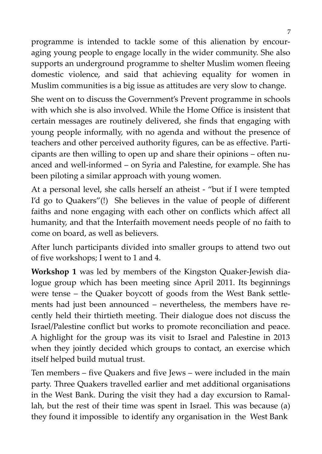programme is intended to tackle some of this alienation by encouraging young people to engage locally in the wider community. She also supports an underground programme to shelter Muslim women fleeing domestic violence, and said that achieving equality for women in Muslim communities is a big issue as attitudes are very slow to change.

She went on to discuss the Government's Prevent programme in schools with which she is also involved. While the Home Office is insistent that certain messages are routinely delivered, she finds that engaging with young people informally, with no agenda and without the presence of teachers and other perceived authority figures, can be as effective. Participants are then willing to open up and share their opinions – often nuanced and well-informed – on Syria and Palestine, for example. She has been piloting a similar approach with young women.

At a personal level, she calls herself an atheist - "but if I were tempted I'd go to Quakers"(!) She believes in the value of people of different faiths and none engaging with each other on conflicts which affect all humanity, and that the Interfaith movement needs people of no faith to come on board, as well as believers.

After lunch participants divided into smaller groups to attend two out of five workshops; I went to 1 and 4.

**Workshop 1** was led by members of the Kingston Quaker-Jewish dialogue group which has been meeting since April 2011. Its beginnings were tense – the Quaker boycott of goods from the West Bank settlements had just been announced – nevertheless, the members have recently held their thirtieth meeting. Their dialogue does not discuss the Israel/Palestine conflict but works to promote reconciliation and peace. A highlight for the group was its visit to Israel and Palestine in 2013 when they jointly decided which groups to contact, an exercise which itself helped build mutual trust.

Ten members – five Quakers and five Jews – were included in the main party. Three Quakers travelled earlier and met additional organisations in the West Bank. During the visit they had a day excursion to Ramallah, but the rest of their time was spent in Israel. This was because (a) they found it impossible to identify any organisation in the West Bank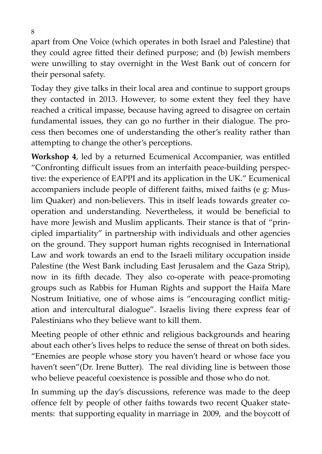apart from One Voice (which operates in both Israel and Palestine) that they could agree fitted their defined purpose; and (b) Jewish members were unwilling to stay overnight in the West Bank out of concern for their personal safety.

Today they give talks in their local area and continue to support groups they contacted in 2013. However, to some extent they feel they have reached a critical impasse, because having agreed to disagree on certain fundamental issues, they can go no further in their dialogue. The process then becomes one of understanding the other's reality rather than attempting to change the other's perceptions.

**Workshop 4**, led by a returned Ecumenical Accompanier, was entitled "Confronting difficult issues from an interfaith peace-building perspective: the experience of EAPPI and its application in the UK." Ecumenical accompaniers include people of different faiths, mixed faiths (e g: Muslim Quaker) and non-believers. This in itself leads towards greater cooperation and understanding. Nevertheless, it would be beneficial to have more Jewish and Muslim applicants. Their stance is that of "principled impartiality" in partnership with individuals and other agencies on the ground. They support human rights recognised in International Law and work towards an end to the Israeli military occupation inside Palestine (the West Bank including East Jerusalem and the Gaza Strip), now in its fifth decade. They also co-operate with peace-promoting groups such as Rabbis for Human Rights and support the Haifa Mare Nostrum Initiative, one of whose aims is "encouraging conflict mitigation and intercultural dialogue". Israelis living there express fear of Palestinians who they believe want to kill them.

Meeting people of other ethnic and religious backgrounds and hearing about each other's lives helps to reduce the sense of threat on both sides. "Enemies are people whose story you haven't heard or whose face you haven't seen"(Dr. Irene Butter). The real dividing line is between those who believe peaceful coexistence is possible and those who do not.

In summing up the day's discussions, reference was made to the deep offence felt by people of other faiths towards two recent Quaker statements: that supporting equality in marriage in 2009, and the boycott of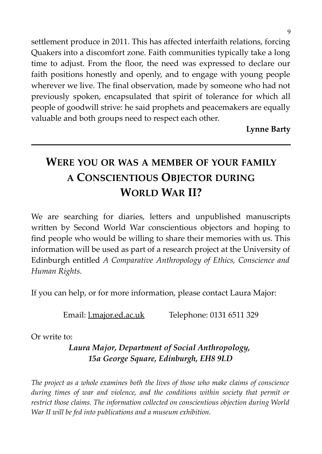settlement produce in 2011. This has affected interfaith relations, forcing Quakers into a discomfort zone. Faith communities typically take a long time to adjust. From the floor, the need was expressed to declare our faith positions honestly and openly, and to engage with young people wherever we live. The final observation, made by someone who had not previously spoken, encapsulated that spirit of tolerance for which all people of goodwill strive: he said prophets and peacemakers are equally valuable and both groups need to respect each other.

**Lynne Barty**

# **WERE YOU OR WAS A MEMBER OF YOUR FAMILY A CONSCIENTIOUS OBJECTOR DURING WORLD WAR II?**

We are searching for diaries, letters and unpublished manuscripts written by Second World War conscientious objectors and hoping to find people who would be willing to share their memories with us. This information will be used as part of a research project at the University of Edinburgh entitled *A Comparative Anthropology of Ethics, Conscience and Human Rights.*

If you can help, or for more information, please contact Laura Major:

Email: [l.major.ed.ac.uk](http://l.major.ed.ac.uk/) Telephone: 0131 6511 329

Or write to:

# *Laura Major, Department of Social Anthropology, 15a George Square, Edinburgh, EH8 9LD*

*The project as a whole examines both the lives of those who make claims of conscience during times of war and violence, and the conditions within society that permit or restrict those claims. The information collected on conscientious objection during World War II will be fed into publications and a museum exhibition.*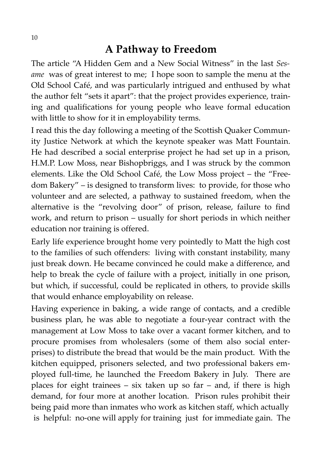# **A Pathway to Freedom**

The article "A Hidden Gem and a New Social Witness" in the last *Sesame* was of great interest to me; I hope soon to sample the menu at the Old School Café, and was particularly intrigued and enthused by what the author felt "sets it apart": that the project provides experience, training and qualifications for young people who leave formal education with little to show for it in employability terms.

I read this the day following a meeting of the Scottish Quaker Community Justice Network at which the keynote speaker was Matt Fountain. He had described a social enterprise project he had set up in a prison, H.M.P. Low Moss, near Bishopbriggs, and I was struck by the common elements. Like the Old School Café, the Low Moss project – the "Freedom Bakery" – is designed to transform lives: to provide, for those who volunteer and are selected, a pathway to sustained freedom, when the alternative is the "revolving door" of prison, release, failure to find work, and return to prison – usually for short periods in which neither education nor training is offered.

Early life experience brought home very pointedly to Matt the high cost to the families of such offenders: living with constant instability, many just break down. He became convinced he could make a difference, and help to break the cycle of failure with a project, initially in one prison, but which, if successful, could be replicated in others, to provide skills that would enhance employability on release.

Having experience in baking, a wide range of contacts, and a credible business plan, he was able to negotiate a four-year contract with the management at Low Moss to take over a vacant former kitchen, and to procure promises from wholesalers (some of them also social enterprises) to distribute the bread that would be the main product. With the kitchen equipped, prisoners selected, and two professional bakers employed full-time, he launched the Freedom Bakery in July. There are places for eight trainees – six taken up so far – and, if there is high demand, for four more at another location. Prison rules prohibit their being paid more than inmates who work as kitchen staff, which actually is helpful: no-one will apply for training just for immediate gain. The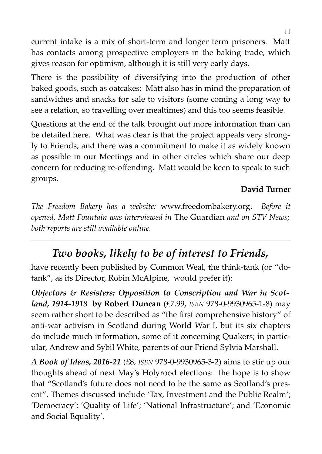current intake is a mix of short-term and longer term prisoners. Matt has contacts among prospective employers in the baking trade, which gives reason for optimism, although it is still very early days.

There is the possibility of diversifying into the production of other baked goods, such as oatcakes; Matt also has in mind the preparation of sandwiches and snacks for sale to visitors (some coming a long way to see a relation, so travelling over mealtimes) and this too seems feasible.

Questions at the end of the talk brought out more information than can be detailed here. What was clear is that the project appeals very strongly to Friends, and there was a commitment to make it as widely known as possible in our Meetings and in other circles which share our deep concern for reducing re-offending. Matt would be keen to speak to such groups.

## **David Turner**

*The Freedom Bakery has a website:* [www.freedombakery.org.](http://www.freedombakery.org/) *Before it opened, Matt Fountain was interviewed in* The Guardian *and on STV News; both reports are still available online.*

# *Two books, likely to be of interest to Friends,*

have recently been published by Common Weal, the think-tank (or "dotank", as its Director, Robin McAlpine, would prefer it):

*Objectors & Resisters: Opposition to Conscription and War in Scotland, 1914-1918* **by Robert Duncan** (£7.99, *ISBN* 978-0-9930965-1-8) may seem rather short to be described as "the first comprehensive history" of anti-war activism in Scotland during World War I, but its six chapters do include much information, some of it concerning Quakers; in particular, Andrew and Sybil White, parents of our Friend Sylvia Marshall.

*A Book of Ideas, 2016-21* (£8, *ISBN* 978-0-9930965-3-2) aims to stir up our thoughts ahead of next May's Holyrood elections: the hope is to show that "Scotland's future does not need to be the same as Scotland's present". Themes discussed include 'Tax, Investment and the Public Realm'; 'Democracy'; 'Quality of Life'; 'National Infrastructure'; and 'Economic and Social Equality'.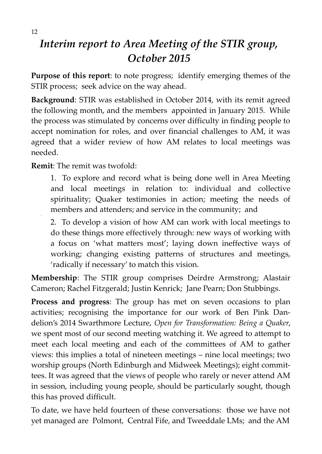# *Interim report to Area Meeting of the STIR group, October 2015*

**Purpose of this report**: to note progress; identify emerging themes of the STIR process; seek advice on the way ahead.

**Background**: STIR was established in October 2014, with its remit agreed the following month, and the members appointed in January 2015. While the process was stimulated by concerns over difficulty in finding people to accept nomination for roles, and over financial challenges to AM, it was agreed that a wider review of how AM relates to local meetings was needed.

**Remit**: The remit was twofold:

1. To explore and record what is being done well in Area Meeting and local meetings in relation to: individual and collective spirituality; Quaker testimonies in action; meeting the needs of members and attenders; and service in the community; and

2. To develop a vision of how AM can work with local meetings to do these things more effectively through: new ways of working with a focus on 'what matters most'; laying down ineffective ways of working; changing existing patterns of structures and meetings, 'radically if necessary' to match this vision.

**Membership**: The STIR group comprises Deirdre Armstrong; Alastair Cameron; Rachel Fitzgerald; Justin Kenrick; Jane Pearn; Don Stubbings.

**Process and progress**: The group has met on seven occasions to plan activities; recognising the importance for our work of Ben Pink Dandelion's 2014 Swarthmore Lecture, *Open for Transformation: Being a Quaker*, we spent most of our second meeting watching it. We agreed to attempt to meet each local meeting and each of the committees of AM to gather views: this implies a total of nineteen meetings – nine local meetings; two worship groups (North Edinburgh and Midweek Meetings); eight committees. It was agreed that the views of people who rarely or never attend AM in session, including young people, should be particularly sought, though this has proved difficult.

To date, we have held fourteen of these conversations: those we have not yet managed are Polmont, Central Fife, and Tweeddale LMs; and the AM

1.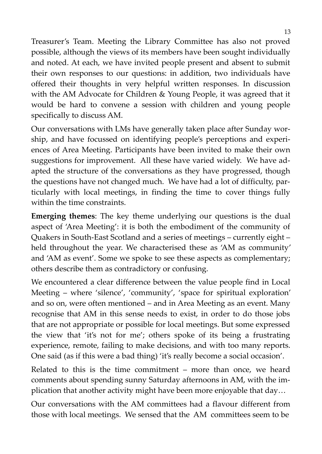Treasurer's Team. Meeting the Library Committee has also not proved possible, although the views of its members have been sought individually and noted. At each, we have invited people present and absent to submit their own responses to our questions: in addition, two individuals have offered their thoughts in very helpful written responses. In discussion with the AM Advocate for Children & Young People, it was agreed that it would be hard to convene a session with children and young people specifically to discuss AM.

Our conversations with LMs have generally taken place after Sunday worship, and have focussed on identifying people's perceptions and experiences of Area Meeting. Participants have been invited to make their own suggestions for improvement. All these have varied widely. We have adapted the structure of the conversations as they have progressed, though the questions have not changed much. We have had a lot of difficulty, particularly with local meetings, in finding the time to cover things fully within the time constraints.

**Emerging themes**: The key theme underlying our questions is the dual aspect of 'Area Meeting': it is both the embodiment of the community of Quakers in South-East Scotland and a series of meetings – currently eight – held throughout the year. We characterised these as 'AM as community' and 'AM as event'. Some we spoke to see these aspects as complementary; others describe them as contradictory or confusing.

We encountered a clear difference between the value people find in Local Meeting – where 'silence', 'community', 'space for spiritual exploration' and so on, were often mentioned – and in Area Meeting as an event. Many recognise that AM in this sense needs to exist, in order to do those jobs that are not appropriate or possible for local meetings. But some expressed the view that 'it's not for me'; others spoke of its being a frustrating experience, remote, failing to make decisions, and with too many reports. One said (as if this were a bad thing) 'it's really become a social occasion'.

Related to this is the time commitment – more than once, we heard comments about spending sunny Saturday afternoons in AM, with the implication that another activity might have been more enjoyable that day…

Our conversations with the AM committees had a flavour different from those with local meetings. We sensed that the AM committees seem to be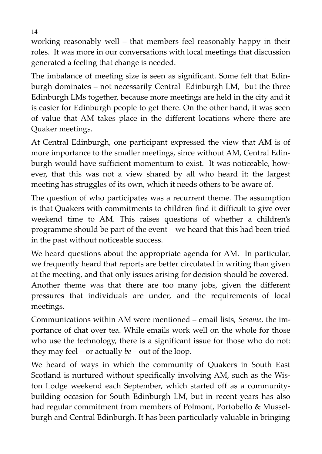working reasonably well – that members feel reasonably happy in their roles. It was more in our conversations with local meetings that discussion generated a feeling that change is needed.

The imbalance of meeting size is seen as significant. Some felt that Edinburgh dominates – not necessarily Central Edinburgh LM, but the three Edinburgh LMs together, because more meetings are held in the city and it is easier for Edinburgh people to get there. On the other hand, it was seen of value that AM takes place in the different locations where there are Quaker meetings.

At Central Edinburgh, one participant expressed the view that AM is of more importance to the smaller meetings, since without AM, Central Edinburgh would have sufficient momentum to exist. It was noticeable, however, that this was not a view shared by all who heard it: the largest meeting has struggles of its own, which it needs others to be aware of.

The question of who participates was a recurrent theme. The assumption is that Quakers with commitments to children find it difficult to give over weekend time to AM. This raises questions of whether a children's programme should be part of the event – we heard that this had been tried in the past without noticeable success.

We heard questions about the appropriate agenda for AM. In particular, we frequently heard that reports are better circulated in writing than given at the meeting, and that only issues arising for decision should be covered. Another theme was that there are too many jobs, given the different pressures that individuals are under, and the requirements of local meetings.

Communications within AM were mentioned – email lists, *Sesame*, the importance of chat over tea. While emails work well on the whole for those who use the technology, there is a significant issue for those who do not: they may feel – or actually *be* – out of the loop.

We heard of ways in which the community of Quakers in South East Scotland is nurtured without specifically involving AM, such as the Wiston Lodge weekend each September, which started off as a communitybuilding occasion for South Edinburgh LM, but in recent years has also had regular commitment from members of Polmont, Portobello & Musselburgh and Central Edinburgh. It has been particularly valuable in bringing

14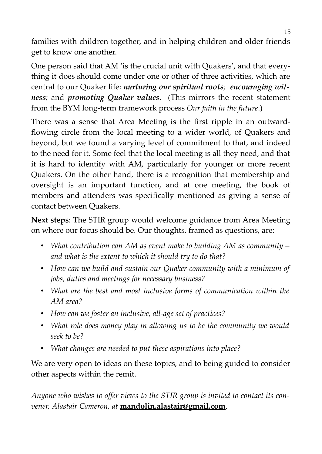families with children together, and in helping children and older friends get to know one another.

One person said that AM 'is the crucial unit with Quakers', and that everything it does should come under one or other of three activities, which are central to our Quaker life: *nurturing our spiritual roots; encouraging witness;* and *promoting Quaker values*. (This mirrors the recent statement from the BYM long-term framework process *Our faith in the future*.)

There was a sense that Area Meeting is the first ripple in an outwardflowing circle from the local meeting to a wider world, of Quakers and beyond, but we found a varying level of commitment to that, and indeed to the need for it. Some feel that the local meeting is all they need, and that it is hard to identify with AM, particularly for younger or more recent Quakers. On the other hand, there is a recognition that membership and oversight is an important function, and at one meeting, the book of members and attenders was specifically mentioned as giving a sense of contact between Quakers.

**Next steps**: The STIR group would welcome guidance from Area Meeting on where our focus should be. Our thoughts, framed as questions, are:

- *What contribution can AM as event make to building AM as community – and what is the extent to which it should try to do that?*
- *How can we build and sustain our Quaker community with a minimum of jobs, duties and meetings for necessary business?*
- *What are the best and most inclusive forms of communication within the AM area?*
- *How can we foster an inclusive, all-age set of practices?*
- *What role does money play in allowing us to be the community we would seek to be?*
- *What changes are needed to put these aspirations into place?*

We are very open to ideas on these topics, and to being guided to consider other aspects within the remit.

*Anyone who wishes to offer views to the STIR group is invited to contact its convener, Alastair Cameron, at* **mandolin.alastair@gmail.com**.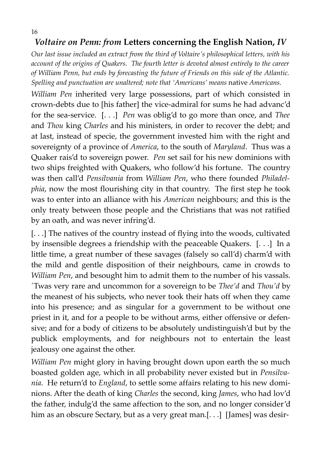# *Voltaire on Penn: from* **Letters concerning the English Nation,** *IV*

*Our last issue included an extract from the third of Voltaire's philosophical letters, with his account of the origins of Quakers. The fourth letter is devoted almost entirely to the career of William Penn, but ends by forecasting the future of Friends on this side of the Atlantic. Spelling and punctuation are unaltered; note that 'Americans' means* native *Americans.* 

*William Pen* inherited very large possessions, part of which consisted in crown-debts due to [his father] the vice-admiral for sums he had advanc'd for the sea-service. [. . .] *Pen* was oblig'd to go more than once, and *Thee* and *Thou* king *Charles* and his ministers, in order to recover the debt; and at last, instead of specie, the government invested him with the right and sovereignty of a province of *America*, to the south of *Maryland*. Thus was a Quaker rais'd to sovereign power. *Pen* set sail for his new dominions with two ships freighted with Quakers, who follow'd his fortune. The country was then call'd *Pensilvania* from *William Pen*, who there founded *Philadelphia*, now the most flourishing city in that country. The first step he took was to enter into an alliance with his *American* neighbours; and this is the only treaty between those people and the Christians that was not ratified by an oath, and was never infring'd.

[. . .] The natives of the country instead of flying into the woods, cultivated by insensible degrees a friendship with the peaceable Quakers. [. . .] In a little time, a great number of these savages (falsely so call'd) charm'd with the mild and gentle disposition of their neighbours, came in crowds to *William Pen*, and besought him to admit them to the number of his vassals. ´Twas very rare and uncommon for a sovereign to be *Thee'd* and *Thou'd* by the meanest of his subjects, who never took their hats off when they came into his presence; and as singular for a government to be without one priest in it, and for a people to be without arms, either offensive or defensive; and for a body of citizens to be absolutely undistinguish'd but by the publick employments, and for neighbours not to entertain the least jealousy one against the other.

*William Pen* might glory in having brought down upon earth the so much boasted golden age, which in all probability never existed but in *Pensilvania*. He return'd to *England*, to settle some affairs relating to his new dominions. After the death of king *Charles* the second, king *James*, who had lov'd the father, indulg'd the same affection to the son, and no longer consider'd him as an obscure Sectary, but as a very great man.[...] [James] was desir-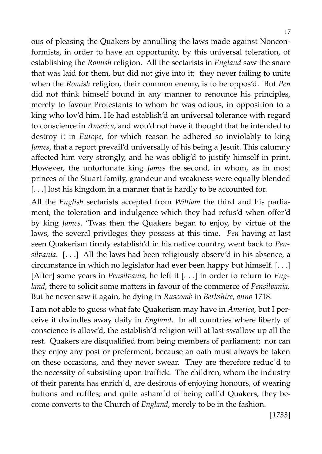ous of pleasing the Quakers by annulling the laws made against Nonconformists, in order to have an opportunity, by this universal toleration, of establishing the *Romish* religion. All the sectarists in *England* saw the snare that was laid for them, but did not give into it; they never failing to unite when the *Romish* religion, their common enemy, is to be oppos'd. But *Pen* did not think himself bound in any manner to renounce his principles, merely to favour Protestants to whom he was odious, in opposition to a king who lov'd him. He had establish'd an universal tolerance with regard to conscience in *America*, and wou'd not have it thought that he intended to destroy it in *Europe*, for which reason he adhered so inviolably to king *James*, that a report prevail'd universally of his being a Jesuit. This calumny affected him very strongly, and he was oblig'd to justify himself in print. However, the unfortunate king *James* the second, in whom, as in most princes of the Stuart family, grandeur and weakness were equally blended [...] lost his kingdom in a manner that is hardly to be accounted for.

All the *English* sectarists accepted from *William* the third and his parliament, the toleration and indulgence which they had refus'd when offer'd by king *James*. 'Twas then the Quakers began to enjoy, by virtue of the laws, the several privileges they possess at this time. *Pen* having at last seen Quakerism firmly establish'd in his native country, went back to *Pensilvania*. [. . .] All the laws had been religiously observ'd in his absence, a circumstance in which no legislator had ever been happy but himself. [. . .] [After] some years in *Pensilvania*, he left it [. . .] in order to return to *England*, there to solicit some matters in favour of the commerce of *Pensilvania.* But he never saw it again, he dying in *Ruscomb* in *Berkshire*, *anno* 1718.

I am not able to guess what fate Quakerism may have in *America*, but I perceive it dwindles away daily in *England*. In all countries where liberty of conscience is allow'd, the establish'd religion will at last swallow up all the rest. Quakers are disqualified from being members of parliament; nor can they enjoy any post or preferment, because an oath must always be taken on these occasions, and they never swear. They are therefore reduc´d to the necessity of subsisting upon traffick. The children, whom the industry of their parents has enrich´d, are desirous of enjoying honours, of wearing buttons and ruffles; and quite asham´d of being call´d Quakers, they become converts to the Church of *England*, merely to be in the fashion.

[*1733*]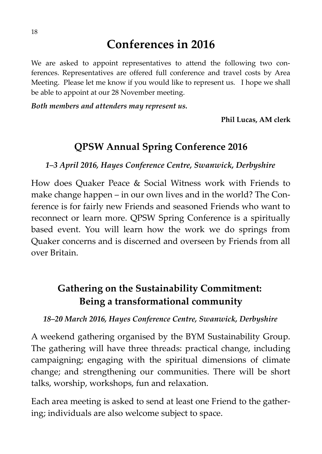# **Conferences in 2016**

We are asked to appoint representatives to attend the following two conferences. Representatives are offered full conference and travel costs by Area Meeting. Please let me know if you would like to represent us. I hope we shall be able to appoint at our 28 November meeting.

*Both members and attenders may represent us.*

**Phil Lucas, AM clerk**

# **QPSW Annual Spring Conference 2016**

*1–3 April 2016, Hayes Conference Centre, Swanwick, Derbyshire*

How does Quaker Peace & Social Witness work with Friends to make change happen – in our own lives and in the world? The Conference is for fairly new Friends and seasoned Friends who want to reconnect or learn more. QPSW Spring Conference is a spiritually based event. You will learn how the work we do springs from Quaker concerns and is discerned and overseen by Friends from all over Britain.

# **Gathering on the Sustainability Commitment: Being a transformational community**

*18–20 March 2016, Hayes Conference Centre, Swanwick, Derbyshire*

A weekend gathering organised by the BYM Sustainability Group. The gathering will have three threads: practical change, including campaigning; engaging with the spiritual dimensions of climate change; and strengthening our communities. There will be short talks, worship, workshops, fun and relaxation.

Each area meeting is asked to send at least one Friend to the gathering; individuals are also welcome subject to space.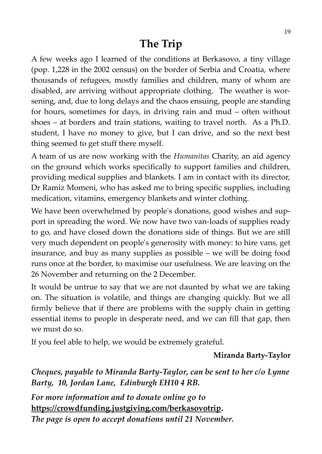# **The Trip**

A few weeks ago I learned of the conditions at Berkasovo, a tiny village (pop. 1,228 in the 2002 census) on the border of Serbia and Croatia, where thousands of refugees, mostly families and children, many of whom are disabled, are arriving without appropriate clothing. The weather is worsening, and, due to long delays and the chaos ensuing, people are standing for hours, sometimes for days, in driving rain and mud – often without shoes – at borders and train stations, waiting to travel north. As a Ph.D. student, I have no money to give, but I can drive, and so the next best thing seemed to get stuff there myself.

A team of us are now working with the *Humanitas* Charity, an aid agency on the ground which works specifically to support families and children, providing medical supplies and blankets. I am in contact with its director, Dr Ramiz Momeni, who has asked me to bring specific supplies, including medication, vitamins, emergency blankets and winter clothing.

We have been overwhelmed by people's donations, good wishes and support in spreading the word. We now have two van-loads of supplies ready to go, and have closed down the donations side of things. But we are still very much dependent on people's generosity with money: to hire vans, get insurance, and buy as many supplies as possible – we will be doing food runs once at the border, to maximise our usefulness. We are leaving on the 26 November and returning on the 2 December.

It would be untrue to say that we are not daunted by what we are taking on. The situation is volatile, and things are changing quickly. But we all firmly believe that if there are problems with the supply chain in getting essential items to people in desperate need, and we can fill that gap, then we must do so.

If you feel able to help, we would be extremely grateful.

## **Miranda Barty-Taylor**

*Cheques, payable to Miranda Barty-Taylor, can be sent to her c/o Lynne Barty, 10, Jordan Lane, Edinburgh EH10 4 RB.*

*For more information and to donate online go to* **[https://crowdfunding.justgiving.com/berkasovotrip.](https://crowdfunding.justgiving.com/berkasovotrip)** 

*The page is open to accept donations until 21 November.*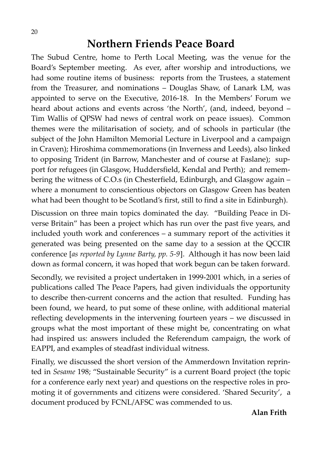# **Northern Friends Peace Board**

The Subud Centre, home to Perth Local Meeting, was the venue for the Board's September meeting. As ever, after worship and introductions, we had some routine items of business: reports from the Trustees, a statement from the Treasurer, and nominations – Douglas Shaw, of Lanark LM, was appointed to serve on the Executive, 2016-18. In the Members' Forum we heard about actions and events across 'the North', (and, indeed, beyond – Tim Wallis of QPSW had news of central work on peace issues). Common themes were the militarisation of society, and of schools in particular (the subject of the John Hamilton Memorial Lecture in Liverpool and a campaign in Craven); Hiroshima commemorations (in Inverness and Leeds), also linked to opposing Trident (in Barrow, Manchester and of course at Faslane); support for refugees (in Glasgow, Huddersfield, Kendal and Perth); and remembering the witness of C.O.s (in Chesterfield, Edinburgh, and Glasgow again – where a monument to conscientious objectors on Glasgow Green has beaten what had been thought to be Scotland's first, still to find a site in Edinburgh).

Discussion on three main topics dominated the day. "Building Peace in Diverse Britain" has been a project which has run over the past five years, and included youth work and conferences – a summary report of the activities it generated was being presented on the same day to a session at the QCCIR conference [*as reported by Lynne Barty, pp. 5-9*]. Although it has now been laid down as formal concern, it was hoped that work begun can be taken forward.

Secondly, we revisited a project undertaken in 1999-2001 which, in a series of publications called The Peace Papers, had given individuals the opportunity to describe then-current concerns and the action that resulted. Funding has been found, we heard, to put some of these online, with additional material reflecting developments in the intervening fourteen years – we discussed in groups what the most important of these might be, concentrating on what had inspired us: answers included the Referendum campaign, the work of EAPPI, and examples of steadfast individual witness.

Finally, we discussed the short version of the Ammerdown Invitation reprinted in *Sesame* 198; "Sustainable Security" is a current Board project (the topic for a conference early next year) and questions on the respective roles in promoting it of governments and citizens were considered. 'Shared Security', a document produced by FCNL/AFSC was commended to us.

#### **Alan Frith**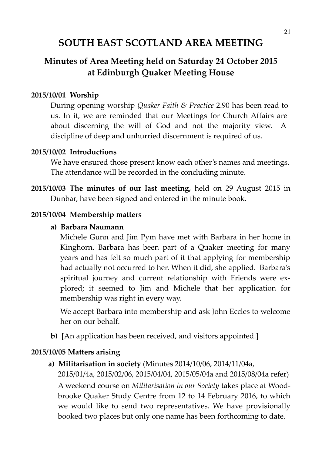# **SOUTH EAST SCOTLAND AREA MEETING**

# **Minutes of Area Meeting held on Saturday 24 October 2015 at Edinburgh Quaker Meeting House**

#### **2015/10/01 Worship**

During opening worship *Quaker Faith & Practice* 2.90 has been read to us. In it, we are reminded that our Meetings for Church Affairs are about discerning the will of God and not the majority view. A discipline of deep and unhurried discernment is required of us.

#### **2015/10/02 Introductions**

We have ensured those present know each other's names and meetings. The attendance will be recorded in the concluding minute.

**2015/10/03 The minutes of our last meeting,** held on 29 August 2015 in Dunbar, have been signed and entered in the minute book.

#### **2015/10/04 Membership matters**

#### **a) Barbara Naumann**

Michele Gunn and Jim Pym have met with Barbara in her home in Kinghorn. Barbara has been part of a Quaker meeting for many years and has felt so much part of it that applying for membership had actually not occurred to her. When it did, she applied. Barbara's spiritual journey and current relationship with Friends were explored; it seemed to Jim and Michele that her application for membership was right in every way.

We accept Barbara into membership and ask John Eccles to welcome her on our behalf.

**b)** [An application has been received, and visitors appointed.]

#### **2015/10/05 Matters arising**

**a) Militarisation in society** (Minutes 2014/10/06, 2014/11/04a,

2015/01/4a, 2015/02/06, 2015/04/04, 2015/05/04a and 2015/08/04a refer) A weekend course on *Militarisation in our Society* takes place at Woodbrooke Quaker Study Centre from 12 to 14 February 2016, to which we would like to send two representatives. We have provisionally booked two places but only one name has been forthcoming to date.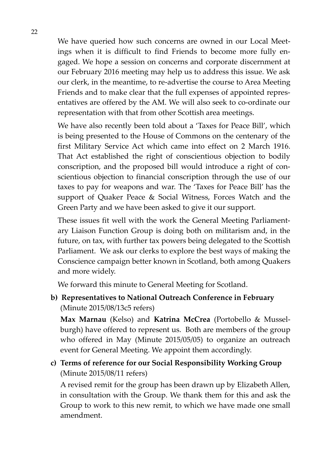We have queried how such concerns are owned in our Local Meetings when it is difficult to find Friends to become more fully engaged. We hope a session on concerns and corporate discernment at our February 2016 meeting may help us to address this issue. We ask our clerk, in the meantime, to re-advertise the course to Area Meeting Friends and to make clear that the full expenses of appointed representatives are offered by the AM. We will also seek to co-ordinate our representation with that from other Scottish area meetings.

We have also recently been told about a 'Taxes for Peace Bill', which is being presented to the House of Commons on the centenary of the first Military Service Act which came into effect on 2 March 1916. That Act established the right of conscientious objection to bodily conscription, and the proposed bill would introduce a right of conscientious objection to financial conscription through the use of our taxes to pay for weapons and war. The 'Taxes for Peace Bill' has the support of Quaker Peace & Social Witness, Forces Watch and the Green Party and we have been asked to give it our support.

These issues fit well with the work the General Meeting Parliamentary Liaison Function Group is doing both on militarism and, in the future, on tax, with further tax powers being delegated to the Scottish Parliament. We ask our clerks to explore the best ways of making the Conscience campaign better known in Scotland, both among Quakers and more widely.

We forward this minute to General Meeting for Scotland.

**b) Representatives to National Outreach Conference in February** (Minute 2015/08/13c5 refers)

**Max Marnau** (Kelso) and **Katrina McCrea** (Portobello & Musselburgh) have offered to represent us. Both are members of the group who offered in May (Minute 2015/05/05) to organize an outreach event for General Meeting. We appoint them accordingly.

**c) Terms of reference for our Social Responsibility Working Group** (Minute 2015/08/11 refers)

A revised remit for the group has been drawn up by Elizabeth Allen, in consultation with the Group. We thank them for this and ask the Group to work to this new remit, to which we have made one small amendment.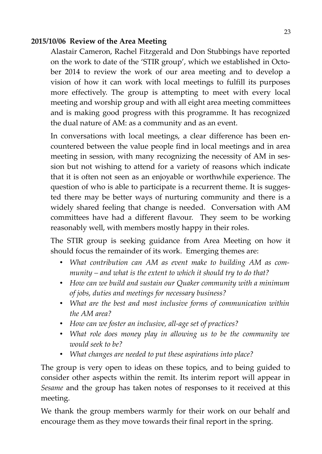#### **2015/10/06 Review of the Area Meeting**

Alastair Cameron, Rachel Fitzgerald and Don Stubbings have reported on the work to date of the 'STIR group', which we established in October 2014 to review the work of our area meeting and to develop a vision of how it can work with local meetings to fulfill its purposes more effectively. The group is attempting to meet with every local meeting and worship group and with all eight area meeting committees and is making good progress with this programme. It has recognized the dual nature of AM: as a community and as an event.

In conversations with local meetings, a clear difference has been encountered between the value people find in local meetings and in area meeting in session, with many recognizing the necessity of AM in session but not wishing to attend for a variety of reasons which indicate that it is often not seen as an enjoyable or worthwhile experience. The question of who is able to participate is a recurrent theme. It is suggested there may be better ways of nurturing community and there is a widely shared feeling that change is needed. Conversation with AM committees have had a different flavour. They seem to be working reasonably well, with members mostly happy in their roles.

The STIR group is seeking guidance from Area Meeting on how it should focus the remainder of its work. Emerging themes are:

- *What contribution can AM as event make to building AM as community – and what is the extent to which it should try to do that?*
- *How can we build and sustain our Quaker community with a minimum of jobs, duties and meetings for necessary business?*
- *What are the best and most inclusive forms of communication within the AM area?*
- *How can we foster an inclusive, all-age set of practices?*
- *What role does money play in allowing us to be the community we would seek to be?*
- *What changes are needed to put these aspirations into place?*

The group is very open to ideas on these topics, and to being guided to consider other aspects within the remit. Its interim report will appear in *Sesame* and the group has taken notes of responses to it received at this meeting.

We thank the group members warmly for their work on our behalf and encourage them as they move towards their final report in the spring.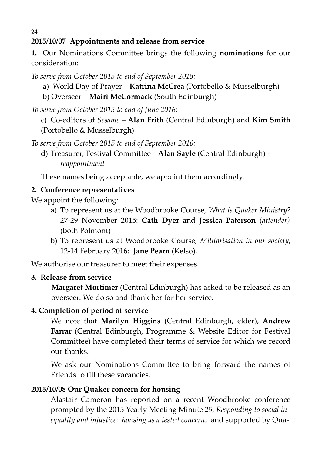# **2015/10/07 Appointments and release from service**

**1.** Our Nominations Committee brings the following **nominations** for our consideration:

*To serve from October 2015 to end of September 2018:*

- a) World Day of Prayer **Katrina McCrea** (Portobello & Musselburgh)
- b) Overseer **Mairi McCormack** (South Edinburgh)
- *To serve from October 2015 to end of June 2016:*
	- c) Co-editors of *Sesame* **Alan Frith** (Central Edinburgh) and **Kim Smith** (Portobello & Musselburgh)

*To serve from October 2015 to end of September 2016:*

d) Treasurer, Festival Committee – **Alan Sayle** (Central Edinburgh) *reappointment*

These names being acceptable, we appoint them accordingly.

## **2. Conference representatives**

We appoint the following:

- a) To represent us at the Woodbrooke Course, *What is Quaker Ministry*? 27-29 November 2015: **Cath Dyer** and **Jessica Paterson** (*attender)* (both Polmont)
- b) To represent us at Woodbrooke Course, *Militarisation in our society*, 12-14 February 2016: **Jane Pearn** (Kelso).

We authorise our treasurer to meet their expenses.

## **3. Release from service**

**Margaret Mortimer** (Central Edinburgh) has asked to be released as an overseer. We do so and thank her for her service.

## **4. Completion of period of service**

We note that **Marilyn Higgins** (Central Edinburgh, elder), **Andrew Farrar** (Central Edinburgh, Programme & Website Editor for Festival Committee) have completed their terms of service for which we record our thanks.

We ask our Nominations Committee to bring forward the names of Friends to fill these vacancies.

## **2015/10/08 Our Quaker concern for housing**

Alastair Cameron has reported on a recent Woodbrooke conference prompted by the 2015 Yearly Meeting Minute 25, *Responding to social inequality and injustice: housing as a tested concern*, and supported by Qua-

24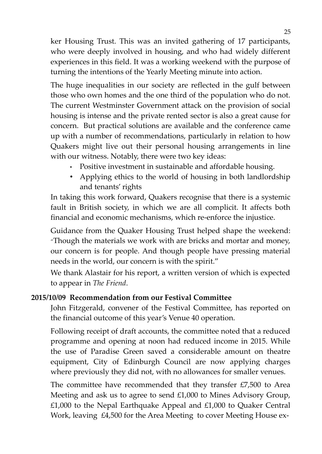ker Housing Trust. This was an invited gathering of 17 participants, who were deeply involved in housing, and who had widely different experiences in this field. It was a working weekend with the purpose of turning the intentions of the Yearly Meeting minute into action.

The huge inequalities in our society are reflected in the gulf between those who own homes and the one third of the population who do not. The current Westminster Government attack on the provision of social housing is intense and the private rented sector is also a great cause for concern. But practical solutions are available and the conference came up with a number of recommendations, particularly in relation to how Quakers might live out their personal housing arrangements in line with our witness. Notably, there were two key ideas:

- Positive investment in sustainable and affordable housing.
- Applying ethics to the world of housing in both landlordship and tenants' rights

In taking this work forward, Quakers recognise that there is a systemic fault in British society, in which we are all complicit. It affects both financial and economic mechanisms, which re-enforce the injustice.

Guidance from the Quaker Housing Trust helped shape the weekend: "Though the materials we work with are bricks and mortar and money, our concern is for people. And though people have pressing material needs in the world, our concern is with the spirit."

We thank Alastair for his report, a written version of which is expected to appear in *The Friend*.

## **2015/10/09 Recommendation from our Festival Committee**

John Fitzgerald, convener of the Festival Committee, has reported on the financial outcome of this year's Venue 40 operation.

Following receipt of draft accounts, the committee noted that a reduced programme and opening at noon had reduced income in 2015. While the use of Paradise Green saved a considerable amount on theatre equipment, City of Edinburgh Council are now applying charges where previously they did not, with no allowances for smaller venues.

The committee have recommended that they transfer  $£7,500$  to Area Meeting and ask us to agree to send £1,000 to Mines Advisory Group,  $£1,000$  to the Nepal Earthquake Appeal and  $£1,000$  to Quaker Central Work, leaving £4,500 for the Area Meeting to cover Meeting House ex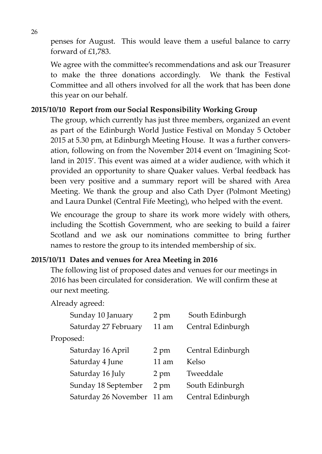penses for August. This would leave them a useful balance to carry forward of £1,783.

We agree with the committee's recommendations and ask our Treasurer to make the three donations accordingly. We thank the Festival Committee and all others involved for all the work that has been done this year on our behalf.

#### **2015/10/10 Report from our Social Responsibility Working Group**

The group, which currently has just three members, organized an event as part of the Edinburgh World Justice Festival on Monday 5 October 2015 at 5.30 pm, at Edinburgh Meeting House. It was a further conversation, following on from the November 2014 event on 'Imagining Scotland in 2015'. This event was aimed at a wider audience, with which it provided an opportunity to share Quaker values. Verbal feedback has been very positive and a summary report will be shared with Area Meeting. We thank the group and also Cath Dyer (Polmont Meeting) and Laura Dunkel (Central Fife Meeting), who helped with the event.

We encourage the group to share its work more widely with others, including the Scottish Government, who are seeking to build a fairer Scotland and we ask our nominations committee to bring further names to restore the group to its intended membership of six.

#### **2015/10/11 Dates and venues for Area Meeting in 2016**

The following list of proposed dates and venues for our meetings in 2016 has been circulated for consideration. We will confirm these at our next meeting.

#### Already agreed:

|           | Sunday 10 January          | 2 pm            | South Edinburgh   |  |  |  |
|-----------|----------------------------|-----------------|-------------------|--|--|--|
|           | Saturday 27 February       | $11$ am         | Central Edinburgh |  |  |  |
| Proposed: |                            |                 |                   |  |  |  |
|           | Saturday 16 April          | 2 pm            | Central Edinburgh |  |  |  |
|           | Saturday 4 June            | $11 \text{ am}$ | Kelso             |  |  |  |
|           | Saturday 16 July           | 2 pm            | Tweeddale         |  |  |  |
|           | Sunday 18 September        | 2 pm            | South Edinburgh   |  |  |  |
|           | Saturday 26 November 11 am |                 | Central Edinburgh |  |  |  |
|           |                            |                 |                   |  |  |  |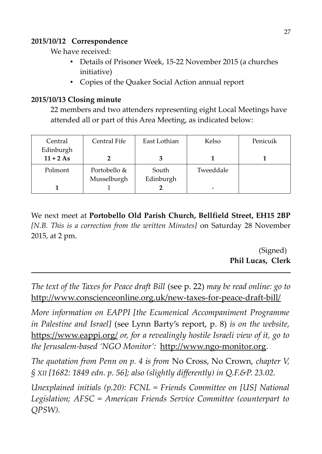## **2015/10/12 Correspondence**

We have received:

- Details of Prisoner Week, 15-22 November 2015 (a churches initiative)
- Copies of the Quaker Social Action annual report

## **2015/10/13 Closing minute**

22 members and two attenders representing eight Local Meetings have attended all or part of this Area Meeting, as indicated below:

| Central     | Central Fife | East Lothian | Kelso     | Penicuik |
|-------------|--------------|--------------|-----------|----------|
| Edinburgh   |              |              |           |          |
| $11 + 2 As$ |              |              |           |          |
| Polmont     | Portobello & | South        | Tweeddale |          |
|             | Musselburgh  | Edinburgh    |           |          |
|             |              |              |           |          |

We next meet at **Portobello Old Parish Church, Bellfield Street, EH15 2BP** *[N.B. This is a correction from the written Minutes]* on Saturday 28 November 2015, at 2 pm.

> (Signed) **Phil Lucas, Clerk**

*The text of the Taxes for Peace draft Bill* (see p. 22) *may be read online: go to* <http://www.conscienceonline.org.uk/new-taxes-for-peace-draft-bill/>

*More information on EAPPI [the Ecumenical Accompaniment Programme in Palestine and Israel]* (see Lynn Barty's report, p. 8) *is on the website,* https://www.eappi.org/ *or, for a revealingly hostile Israeli view of it, go to the Jerusalem-based 'NGO Monitor':* [http://www.ngo-monitor.org.](http://www.ngo-monitor.org/)

*The quotation from Penn on p. 4 is from* No Cross, No Crown, *chapter V, § XII [1682: 1849 edn. p. 56]; also (slightly differently) in Q.F.&P. 23.02.* 

*Unexplained initials (p.20): FCNL = Friends Committee on [US] National Legislation; AFSC = American Friends Service Committee (counterpart to QPSW).*